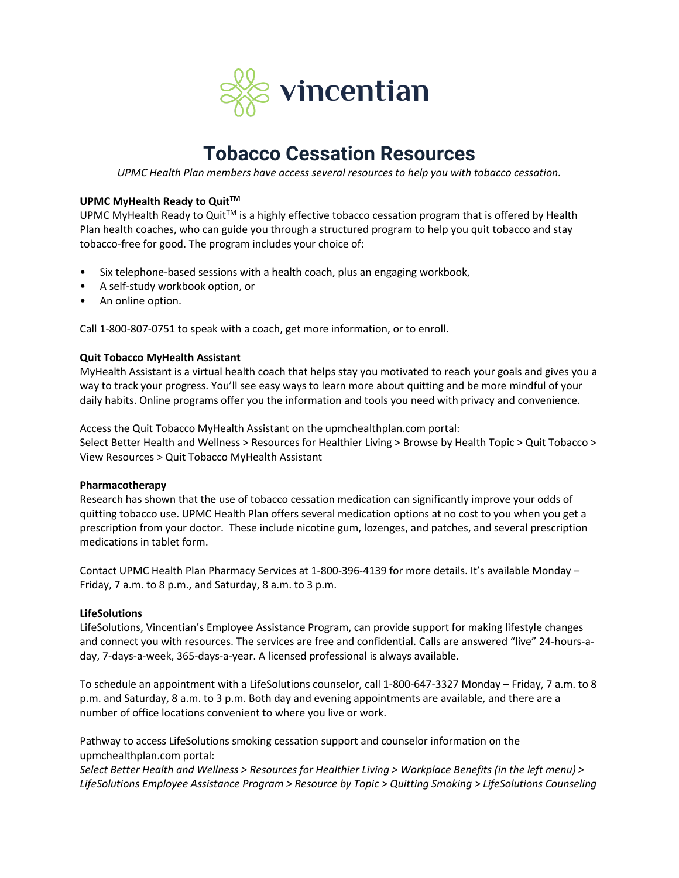

# **Tobacco Cessation Resources**

*UPMC Health Plan members have access several resources to help you with tobacco cessation.*

### **UPMC MyHealth Ready to QuitTM**

UPMC MyHealth Ready to Quit™ is a highly effective tobacco cessation program that is offered by Health Plan health coaches, who can guide you through a structured program to help you quit tobacco and stay tobacco-free for good. The program includes your choice of:

- Six telephone-based sessions with a health coach, plus an engaging workbook,
- A self-study workbook option, or
- An online option.

Call 1-800-807-0751 to speak with a coach, get more information, or to enroll.

### **Quit Tobacco MyHealth Assistant**

MyHealth Assistant is a virtual health coach that helps stay you motivated to reach your goals and gives you a way to track your progress. You'll see easy ways to learn more about quitting and be more mindful of your daily habits. Online programs offer you the information and tools you need with privacy and convenience.

Access the Quit Tobacco MyHealth Assistant on the upmchealthplan.com portal: Select Better Health and Wellness > Resources for Healthier Living > Browse by Health Topic > Quit Tobacco > View Resources > Quit Tobacco MyHealth Assistant

### **Pharmacotherapy**

Research has shown that the use of tobacco cessation medication can significantly improve your odds of quitting tobacco use. UPMC Health Plan offers several medication options at no cost to you when you get a prescription from your doctor. These include nicotine gum, lozenges, and patches, and several prescription medications in tablet form.

Contact UPMC Health Plan Pharmacy Services at 1-800-396-4139 for more details. It's available Monday – Friday, 7 a.m. to 8 p.m., and Saturday, 8 a.m. to 3 p.m.

### **LifeSolutions**

LifeSolutions, Vincentian's Employee Assistance Program, can provide support for making lifestyle changes and connect you with resources. The services are free and confidential. Calls are answered "live" 24-hours-aday, 7-days-a-week, 365-days-a-year. A licensed professional is always available.

To schedule an appointment with a LifeSolutions counselor, call 1-800-647-3327 Monday – Friday, 7 a.m. to 8 p.m. and Saturday, 8 a.m. to 3 p.m. Both day and evening appointments are available, and there are a number of office locations convenient to where you live or work.

Pathway to access LifeSolutions smoking cessation support and counselor information on the upmchealthplan.com portal:

*Select Better Health and Wellness > Resources for Healthier Living > Workplace Benefits (in the left menu) > LifeSolutions Employee Assistance Program > Resource by Topic > Quitting Smoking > LifeSolutions Counseling*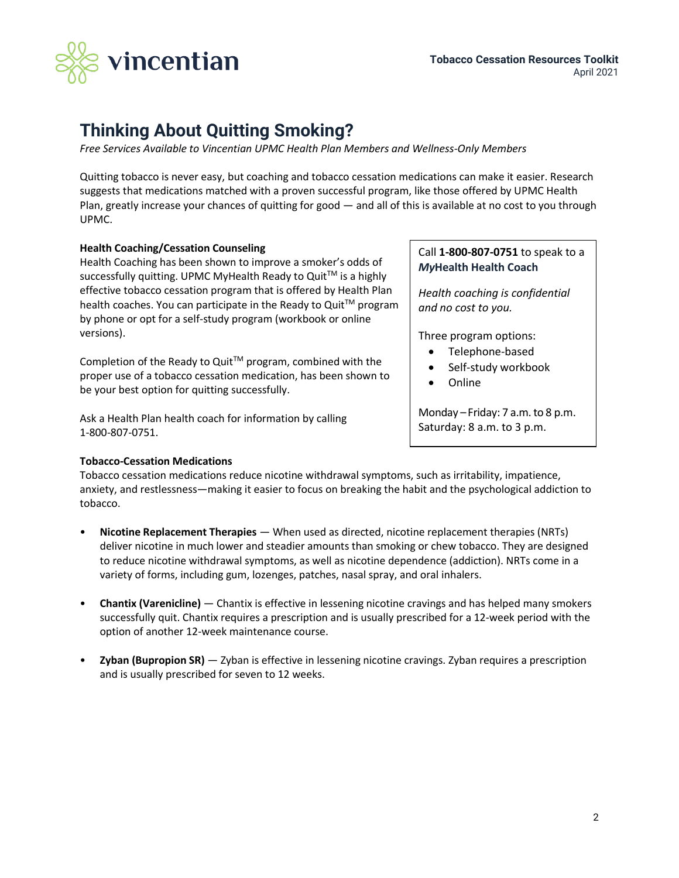

# **Thinking About Quitting Smoking?**

*Free Services Available to Vincentian UPMC Health Plan Members and Wellness-Only Members*

Quitting tobacco is never easy, but coaching and tobacco cessation medications can make it easier. Research suggests that medications matched with a proven successful program, like those offered by UPMC Health Plan, greatly increase your chances of quitting for good — and all of this is available at no cost to you through UPMC.

### **Health Coaching/Cessation Counseling**

Health Coaching has been shown to improve a smoker's odds of successfully quitting. UPMC MyHealth Ready to Quit™ is a highly effective tobacco cessation program that is offered by Health Plan health coaches. You can participate in the Ready to Quit™ program by phone or opt for a self-study program (workbook or online versions).

Completion of the Ready to Quit<sup>TM</sup> program, combined with the proper use of a tobacco cessation medication, has been shown to be your best option for quitting successfully.

Ask a Health Plan health coach for information by calling 1-800-807-0751.

### **Tobacco-Cessation Medications**

### Call **1-800-807-0751** to speak to a *My***Health Health Coach**

*Health coaching is confidential and no cost to you.*

Three program options:

- Telephone-based
- Self-study workbook
- Online

Monday – Friday: 7 a.m. to 8 p.m. Saturday: 8 a.m. to 3 p.m.

Tobacco cessation medications reduce nicotine withdrawal symptoms, such as irritability, impatience, anxiety, and restlessness—making it easier to focus on breaking the habit and the psychological addiction to tobacco.

- **Nicotine Replacement Therapies** When used as directed, nicotine replacement therapies (NRTs) deliver nicotine in much lower and steadier amounts than smoking or chew tobacco. They are designed to reduce nicotine withdrawal symptoms, as well as nicotine dependence (addiction). NRTs come in a variety of forms, including gum, lozenges, patches, nasal spray, and oral inhalers.
- **Chantix (Varenicline)** Chantix is effective in lessening nicotine cravings and has helped many smokers successfully quit. Chantix requires a prescription and is usually prescribed for a 12-week period with the option of another 12-week maintenance course.
- **Zyban (Bupropion SR)** Zyban is effective in lessening nicotine cravings. Zyban requires a prescription and is usually prescribed for seven to 12 weeks.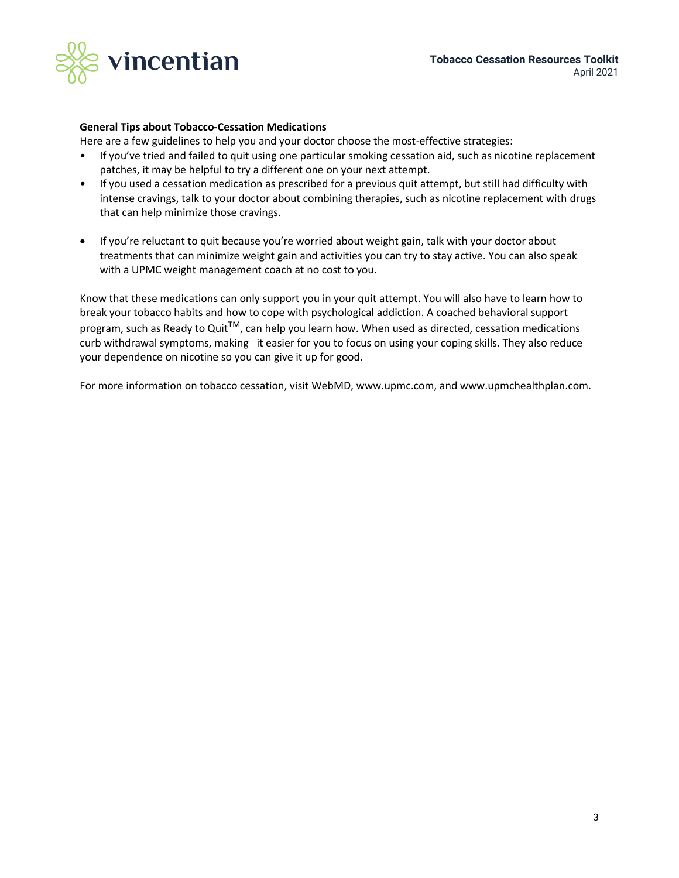

### **General Tips about Tobacco-Cessation Medications**

Here are a few guidelines to help you and your doctor choose the most-effective strategies:

- If you've tried and failed to quit using one particular smoking cessation aid, such as nicotine replacement patches, it may be helpful to try a different one on your next attempt.
- If you used a cessation medication as prescribed for a previous quit attempt, but still had difficulty with intense cravings, talk to your doctor about combining therapies, such as nicotine replacement with drugs that can help minimize those cravings.
- If you're reluctant to quit because you're worried about weight gain, talk with your doctor about treatments that can minimize weight gain and activities you can try to stay active. You can also speak with a UPMC weight management coach at no cost to you.

Know that these medications can only support you in your quit attempt. You will also have to learn how to break your tobacco habits and how to cope with psychological addiction. A coached behavioral support program, such as Ready to Quit<sup>TM</sup>, can help you learn how. When used as directed, cessation medications curb withdrawal symptoms, making it easier for you to focus on using your coping skills. They also reduce your dependence on nicotine so you can give it up for good.

For more information on tobacco cessation, visit WebMD, www.upmc.com, and www.upmchealthplan.com.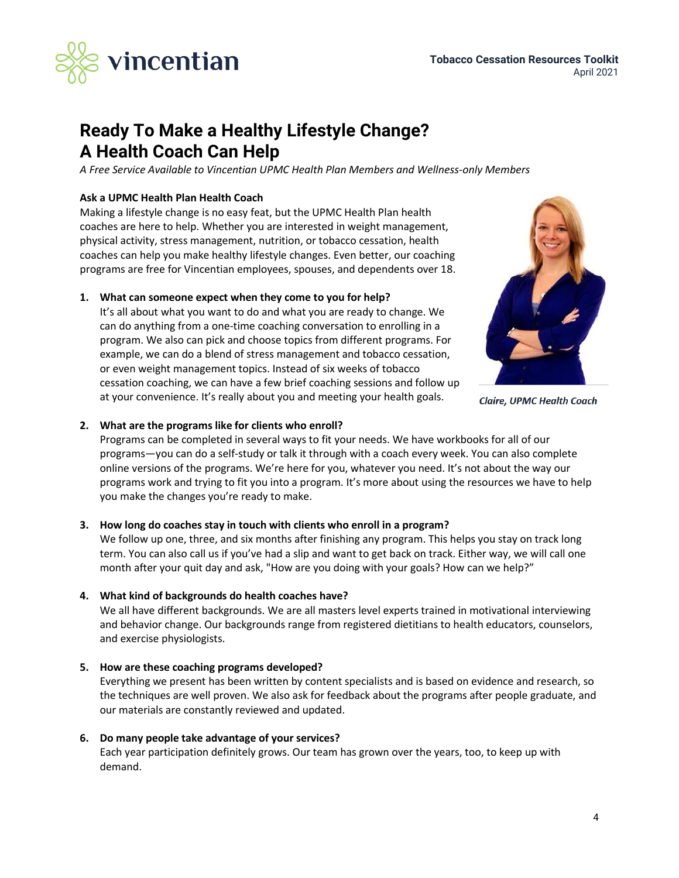

# **Ready To Make a Healthy Lifestyle Change? A Health Coach Can Help**

*A Free Service Available to Vincentian UPMC Health Plan Members and Wellness-only Members* 

### **Ask a UPMC Health Plan Health Coach**

Making a lifestyle change is no easy feat, but the UPMC Health Plan health coaches are here to help. Whether you are interested in weight management, physical activity, stress management, nutrition, or tobacco cessation, health coaches can help you make healthy lifestyle changes. Even better, our coaching programs are free for Vincentian employees, spouses, and dependents over 18.

### **1. What can someone expect when they come to you for help?**

It's all about what you want to do and what you are ready to change. We can do anything from a one-time coaching conversation to enrolling in a program. We also can pick and choose topics from different programs. For example, we can do a blend of stress management and tobacco cessation, or even weight management topics. Instead of six weeks of tobacco cessation coaching, we can have a few brief coaching sessions and follow up at your convenience. It's really about you and meeting your health goals.



**Claire, UPMC Health Coach** 

### **2. What are the programs like for clients who enroll?**

Programs can be completed in several ways to fit your needs. We have workbooks for all of our programs—you can do a self-study or talk it through with a coach every week. You can also complete online versions of the programs. We're here for you, whatever you need. It's not about the way our programs work and trying to fit you into a program. It's more about using the resources we have to help you make the changes you're ready to make.

### **3. How long do coaches stay in touch with clients who enroll in a program?**

We follow up one, three, and six months after finishing any program. This helps you stay on track long term. You can also call us if you've had a slip and want to get back on track. Either way, we will call one month after your quit day and ask, "How are you doing with your goals? How can we help?"

### **4. What kind of backgrounds do health coaches have?**

We all have different backgrounds. We are all masters level experts trained in motivational interviewing and behavior change. Our backgrounds range from registered dietitians to health educators, counselors, and exercise physiologists.

### **5. How are these coaching programs developed?**

Everything we present has been written by content specialists and is based on evidence and research, so the techniques are well proven. We also ask for feedback about the programs after people graduate, and our materials are constantly reviewed and updated.

### **6. Do many people take advantage of your services?**

Each year participation definitely grows. Our team has grown over the years, too, to keep up with demand.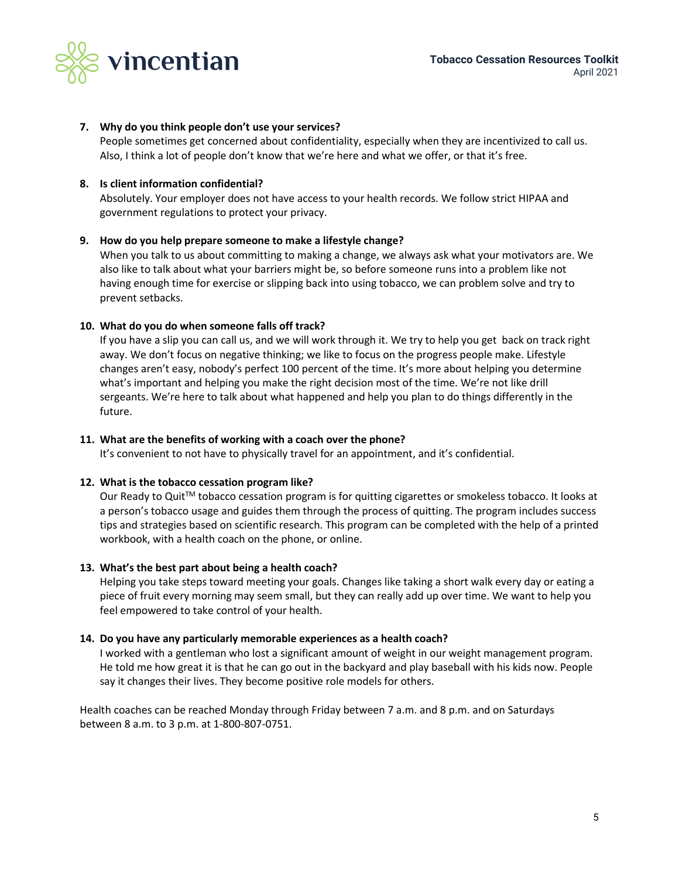

### **7. Why do you think people don't use your services?**

People sometimes get concerned about confidentiality, especially when they are incentivized to call us. Also, I think a lot of people don't know that we're here and what we offer, or that it's free.

### **8. Is client information confidential?**

Absolutely. Your employer does not have access to your health records. We follow strict HIPAA and government regulations to protect your privacy.

### **9. How do you help prepare someone to make a lifestyle change?**

When you talk to us about committing to making a change, we always ask what your motivators are. We also like to talk about what your barriers might be, so before someone runs into a problem like not having enough time for exercise or slipping back into using tobacco, we can problem solve and try to prevent setbacks.

### **10. What do you do when someone falls off track?**

If you have a slip you can call us, and we will work through it. We try to help you get back on track right away. We don't focus on negative thinking; we like to focus on the progress people make. Lifestyle changes aren't easy, nobody's perfect 100 percent of the time. It's more about helping you determine what's important and helping you make the right decision most of the time. We're not like drill sergeants. We're here to talk about what happened and help you plan to do things differently in the future.

### **11. What are the benefits of working with a coach over the phone?**

It's convenient to not have to physically travel for an appointment, and it's confidential.

### **12. What is the tobacco cessation program like?**

Our Ready to Quit™ tobacco cessation program is for quitting cigarettes or smokeless tobacco. It looks at a person's tobacco usage and guides them through the process of quitting. The program includes success tips and strategies based on scientific research. This program can be completed with the help of a printed workbook, with a health coach on the phone, or online.

### **13. What's the best part about being a health coach?**

Helping you take steps toward meeting your goals. Changes like taking a short walk every day or eating a piece of fruit every morning may seem small, but they can really add up over time. We want to help you feel empowered to take control of your health.

### **14. Do you have any particularly memorable experiences as a health coach?**

I worked with a gentleman who lost a significant amount of weight in our weight management program. He told me how great it is that he can go out in the backyard and play baseball with his kids now. People say it changes their lives. They become positive role models for others.

Health coaches can be reached Monday through Friday between 7 a.m. and 8 p.m. and on Saturdays between 8 a.m. to 3 p.m. at 1-800-807-0751.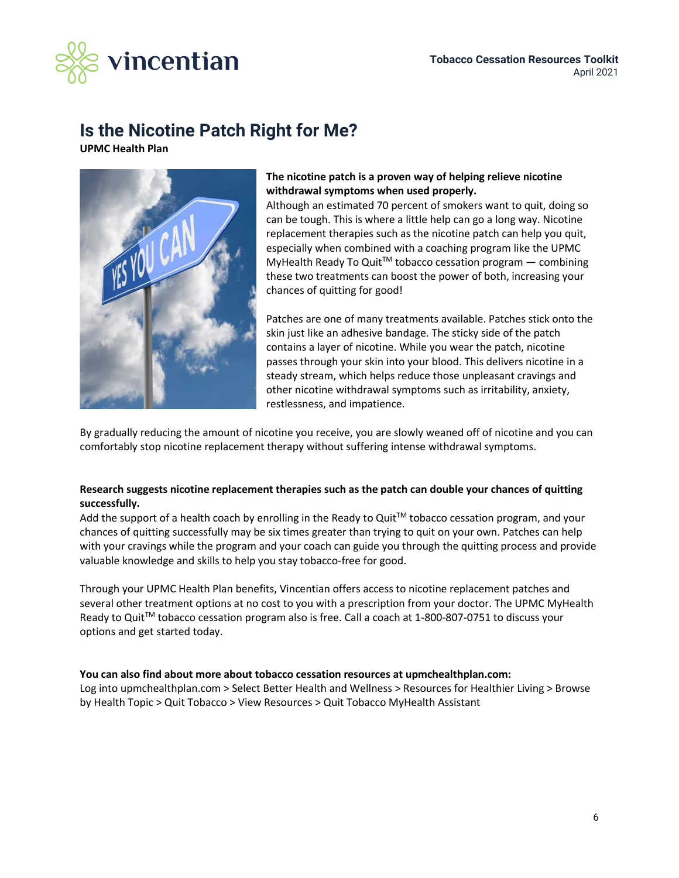

## **Is the Nicotine Patch Right for Me?**

**UPMC Health Plan**



### **The nicotine patch is a proven way of helping relieve nicotine withdrawal symptoms when used properly.**

Although an estimated 70 percent of smokers want to quit, doing so can be tough. This is where a little help can go a long way. Nicotine replacement therapies such as the nicotine patch can help you quit, especially when combined with a coaching program like the UPMC MyHealth Ready To Quit™ tobacco cessation program — combining these two treatments can boost the power of both, increasing your chances of quitting for good!

Patches are one of many treatments available. Patches stick onto the skin just like an adhesive bandage. The sticky side of the patch contains a layer of nicotine. While you wear the patch, nicotine passes through your skin into your blood. This delivers nicotine in a steady stream, which helps reduce those unpleasant cravings and other nicotine withdrawal symptoms such as irritability, anxiety, restlessness, and impatience.

By gradually reducing the amount of nicotine you receive, you are slowly weaned off of nicotine and you can comfortably stop nicotine replacement therapy without suffering intense withdrawal symptoms.

### **Research suggests nicotine replacement therapies such as the patch can double your chances of quitting successfully.**

Add the support of a health coach by enrolling in the Ready to Quit<sup>TM</sup> tobacco cessation program, and your chances of quitting successfully may be six times greater than trying to quit on your own. Patches can help with your cravings while the program and your coach can guide you through the quitting process and provide valuable knowledge and skills to help you stay tobacco-free for good.

Through your UPMC Health Plan benefits, Vincentian offers access to nicotine replacement patches and several other treatment options at no cost to you with a prescription from your doctor. The UPMC MyHealth Ready to Quit<sup>™</sup> tobacco cessation program also is free. Call a coach at 1-800-807-0751 to discuss your options and get started today.

### **You can also find about more about tobacco cessation resources at upmchealthplan.com:**

Log into upmchealthplan.com > Select Better Health and Wellness > Resources for Healthier Living > Browse by Health Topic > Quit Tobacco > View Resources > Quit Tobacco MyHealth Assistant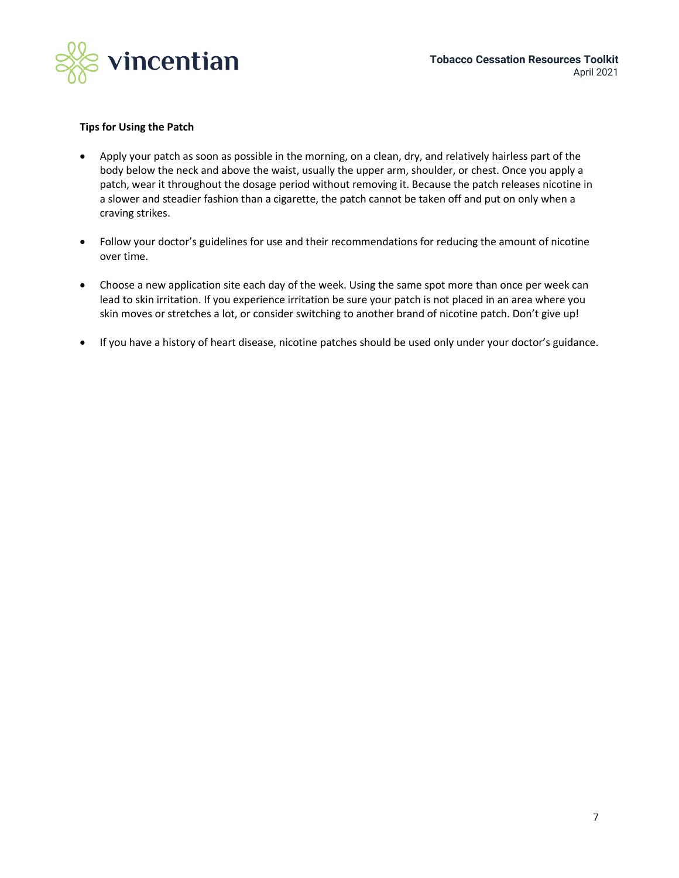

### **Tips for Using the Patch**

- Apply your patch as soon as possible in the morning, on a clean, dry, and relatively hairless part of the body below the neck and above the waist, usually the upper arm, shoulder, or chest. Once you apply a patch, wear it throughout the dosage period without removing it. Because the patch releases nicotine in a slower and steadier fashion than a cigarette, the patch cannot be taken off and put on only when a craving strikes.
- Follow your doctor's guidelines for use and their recommendations for reducing the amount of nicotine over time.
- Choose a new application site each day of the week. Using the same spot more than once per week can lead to skin irritation. If you experience irritation be sure your patch is not placed in an area where you skin moves or stretches a lot, or consider switching to another brand of nicotine patch. Don't give up!
- If you have a history of heart disease, nicotine patches should be used only under your doctor's guidance.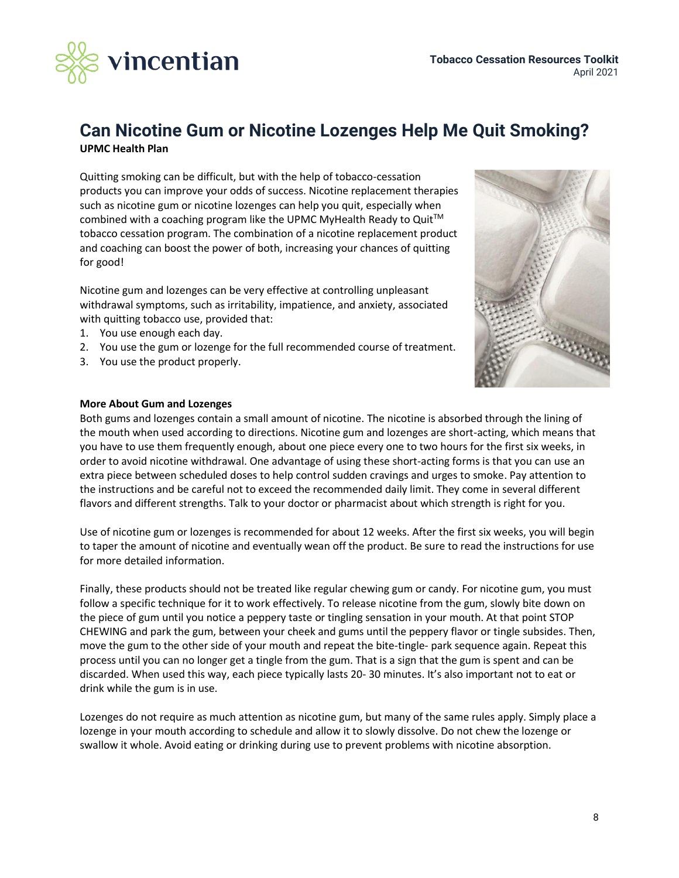

### **Can Nicotine Gum or Nicotine Lozenges Help Me Quit Smoking? UPMC Health Plan**

Quitting smoking can be difficult, but with the help of tobacco-cessation products you can improve your odds of success. Nicotine replacement therapies such as nicotine gum or nicotine lozenges can help you quit, especially when combined with a coaching program like the UPMC MyHealth Ready to Quit™ tobacco cessation program. The combination of a nicotine replacement product and coaching can boost the power of both, increasing your chances of quitting for good!

Nicotine gum and lozenges can be very effective at controlling unpleasant withdrawal symptoms, such as irritability, impatience, and anxiety, associated with quitting tobacco use, provided that:

- 1. You use enough each day.
- 2. You use the gum or lozenge for the full recommended course of treatment.
- 3. You use the product properly.



### **More About Gum and Lozenges**

Both gums and lozenges contain a small amount of nicotine. The nicotine is absorbed through the lining of the mouth when used according to directions. Nicotine gum and lozenges are short-acting, which means that you have to use them frequently enough, about one piece every one to two hours for the first six weeks, in order to avoid nicotine withdrawal. One advantage of using these short-acting forms is that you can use an extra piece between scheduled doses to help control sudden cravings and urges to smoke. Pay attention to the instructions and be careful not to exceed the recommended daily limit. They come in several different flavors and different strengths. Talk to your doctor or pharmacist about which strength is right for you.

Use of nicotine gum or lozenges is recommended for about 12 weeks. After the first six weeks, you will begin to taper the amount of nicotine and eventually wean off the product. Be sure to read the instructions for use for more detailed information.

Finally, these products should not be treated like regular chewing gum or candy. For nicotine gum, you must follow a specific technique for it to work effectively. To release nicotine from the gum, slowly bite down on the piece of gum until you notice a peppery taste or tingling sensation in your mouth. At that point STOP CHEWING and park the gum, between your cheek and gums until the peppery flavor or tingle subsides. Then, move the gum to the other side of your mouth and repeat the bite-tingle- park sequence again. Repeat this process until you can no longer get a tingle from the gum. That is a sign that the gum is spent and can be discarded. When used this way, each piece typically lasts 20- 30 minutes. It's also important not to eat or drink while the gum is in use.

Lozenges do not require as much attention as nicotine gum, but many of the same rules apply. Simply place a lozenge in your mouth according to schedule and allow it to slowly dissolve. Do not chew the lozenge or swallow it whole. Avoid eating or drinking during use to prevent problems with nicotine absorption.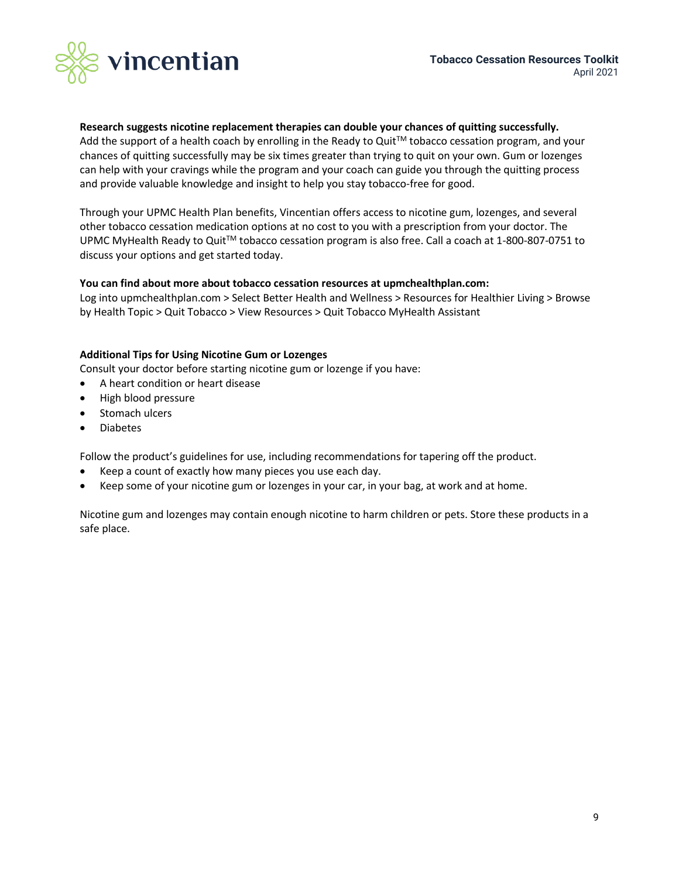

### **Research suggests nicotine replacement therapies can double your chances of quitting successfully.**

Add the support of a health coach by enrolling in the Ready to Quit<sup>TM</sup> tobacco cessation program, and your chances of quitting successfully may be six times greater than trying to quit on your own. Gum or lozenges can help with your cravings while the program and your coach can guide you through the quitting process and provide valuable knowledge and insight to help you stay tobacco-free for good.

Through your UPMC Health Plan benefits, Vincentian offers access to nicotine gum, lozenges, and several other tobacco cessation medication options at no cost to you with a prescription from your doctor. The UPMC MyHealth Ready to QuitTM tobacco cessation program is also free. Call a coach at 1-800-807-0751 to discuss your options and get started today.

### **You can find about more about tobacco cessation resources at upmchealthplan.com:**

Log into upmchealthplan.com > Select Better Health and Wellness > Resources for Healthier Living > Browse by Health Topic > Quit Tobacco > View Resources > Quit Tobacco MyHealth Assistant

### **Additional Tips for Using Nicotine Gum or Lozenges**

Consult your doctor before starting nicotine gum or lozenge if you have:

- A heart condition or heart disease
- High blood pressure
- Stomach ulcers
- Diabetes

Follow the product's guidelines for use, including recommendations for tapering off the product.

- Keep a count of exactly how many pieces you use each day.
- Keep some of your nicotine gum or lozenges in your car, in your bag, at work and at home.

Nicotine gum and lozenges may contain enough nicotine to harm children or pets. Store these products in a safe place.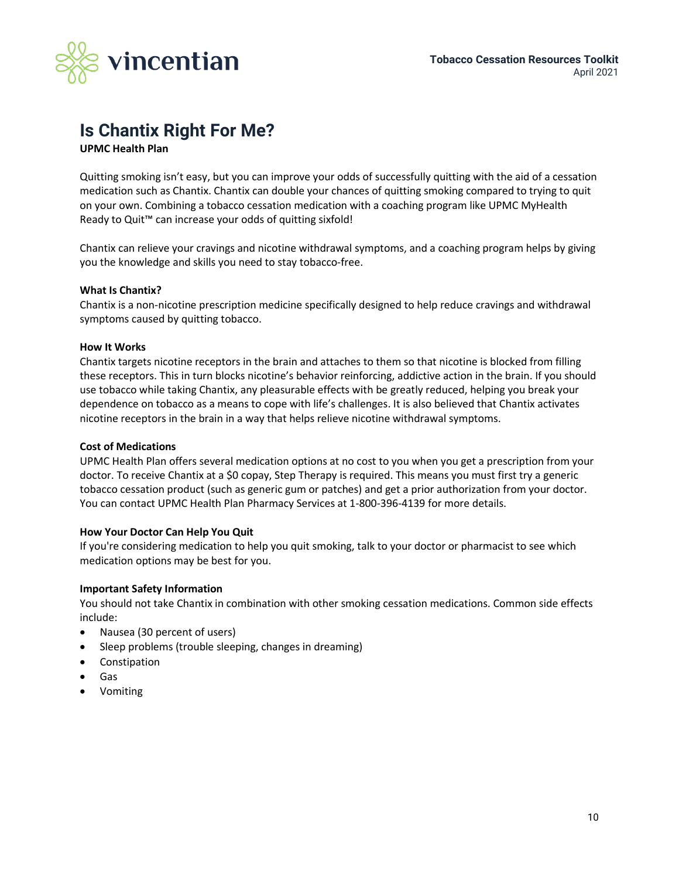

# **Is Chantix Right For Me?**

**UPMC Health Plan**

Quitting smoking isn't easy, but you can improve your odds of successfully quitting with the aid of a cessation medication such as Chantix. Chantix can double your chances of quitting smoking compared to trying to quit on your own. Combining a tobacco cessation medication with a coaching program like UPMC MyHealth Ready to Quit™ can increase your odds of quitting sixfold!

Chantix can relieve your cravings and nicotine withdrawal symptoms, and a coaching program helps by giving you the knowledge and skills you need to stay tobacco-free.

### **What Is Chantix?**

Chantix is a non-nicotine prescription medicine specifically designed to help reduce cravings and withdrawal symptoms caused by quitting tobacco.

### **How It Works**

Chantix targets nicotine receptors in the brain and attaches to them so that nicotine is blocked from filling these receptors. This in turn blocks nicotine's behavior reinforcing, addictive action in the brain. If you should use tobacco while taking Chantix, any pleasurable effects with be greatly reduced, helping you break your dependence on tobacco as a means to cope with life's challenges. It is also believed that Chantix activates nicotine receptors in the brain in a way that helps relieve nicotine withdrawal symptoms.

### **Cost of Medications**

UPMC Health Plan offers several medication options at no cost to you when you get a prescription from your doctor. To receive Chantix at a \$0 copay, Step Therapy is required. This means you must first try a generic tobacco cessation product (such as generic gum or patches) and get a prior authorization from your doctor. You can contact UPMC Health Plan Pharmacy Services at 1-800-396-4139 for more details.

### **How Your Doctor Can Help You Quit**

If you're considering medication to help you quit smoking, talk to your doctor or pharmacist to see which medication options may be best for you.

### **Important Safety Information**

You should not take Chantix in combination with other smoking cessation medications. Common side effects include:

- Nausea (30 percent of users)
- Sleep problems (trouble sleeping, changes in dreaming)
- Constipation
- Gas
- Vomiting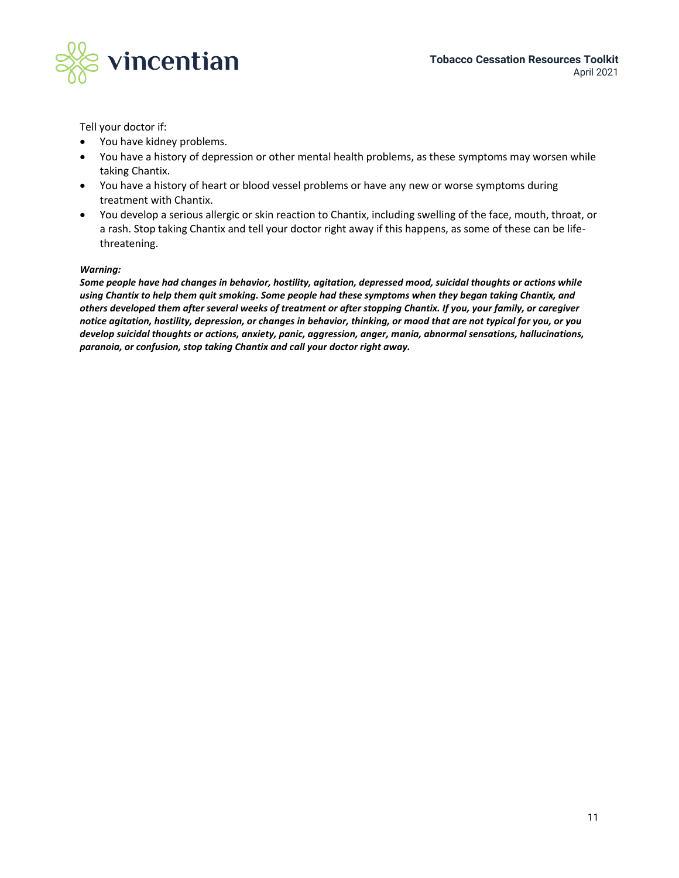

Tell your doctor if:

- You have kidney problems.
- You have a history of depression or other mental health problems, as these symptoms may worsen while taking Chantix.
- You have a history of heart or blood vessel problems or have any new or worse symptoms during treatment with Chantix.
- You develop a serious allergic or skin reaction to Chantix, including swelling of the face, mouth, throat, or a rash. Stop taking Chantix and tell your doctor right away if this happens, as some of these can be lifethreatening.

### *Warning:*

*Some people have had changes in behavior, hostility, agitation, depressed mood, suicidal thoughts or actions while using Chantix to help them quit smoking. Some people had these symptoms when they began taking Chantix, and others developed them after several weeks of treatment or after stopping Chantix. If you, your family, or caregiver notice agitation, hostility, depression, or changes in behavior, thinking, or mood that are not typical for you, or you develop suicidal thoughts or actions, anxiety, panic, aggression, anger, mania, abnormal sensations, hallucinations, paranoia, or confusion, stop taking Chantix and call your doctor right away.*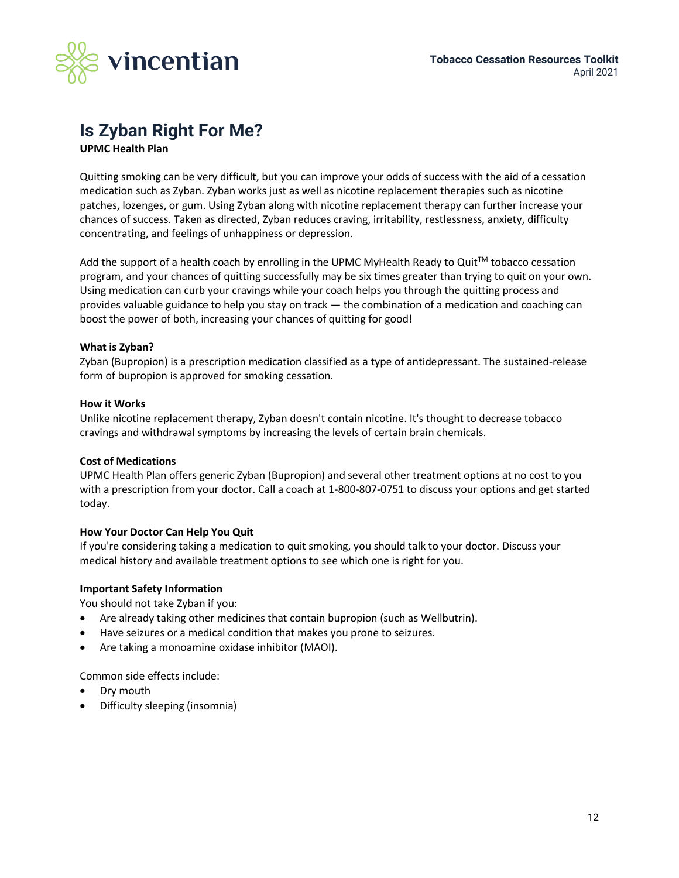

### **Is Zyban Right For Me? UPMC Health Plan**

Quitting smoking can be very difficult, but you can improve your odds of success with the aid of a cessation medication such as Zyban. Zyban works just as well as nicotine replacement therapies such as nicotine patches, lozenges, or gum. Using Zyban along with nicotine replacement therapy can further increase your chances of success. Taken as directed, Zyban reduces craving, irritability, restlessness, anxiety, difficulty concentrating, and feelings of unhappiness or depression.

Add the support of a health coach by enrolling in the UPMC MyHealth Ready to Quit™ tobacco cessation program, and your chances of quitting successfully may be six times greater than trying to quit on your own. Using medication can curb your cravings while your coach helps you through the quitting process and provides valuable guidance to help you stay on track — the combination of a medication and coaching can boost the power of both, increasing your chances of quitting for good!

### **What is Zyban?**

Zyban (Bupropion) is a prescription medication classified as a type of antidepressant. The sustained-release form of bupropion is approved for smoking cessation.

### **How it Works**

Unlike nicotine replacement therapy, Zyban doesn't contain nicotine. It's thought to decrease tobacco cravings and withdrawal symptoms by increasing the levels of certain brain chemicals.

### **Cost of Medications**

UPMC Health Plan offers generic Zyban (Bupropion) and several other treatment options at no cost to you with a prescription from your doctor. Call a coach at 1-800-807-0751 to discuss your options and get started today.

### **How Your Doctor Can Help You Quit**

If you're considering taking a medication to quit smoking, you should talk to your doctor. Discuss your medical history and available treatment options to see which one is right for you.

### **Important Safety Information**

You should not take Zyban if you:

- Are already taking other medicines that contain bupropion (such as Wellbutrin).
- Have seizures or a medical condition that makes you prone to seizures.
- Are taking a monoamine oxidase inhibitor (MAOI).

Common side effects include:

- Dry mouth
- Difficulty sleeping (insomnia)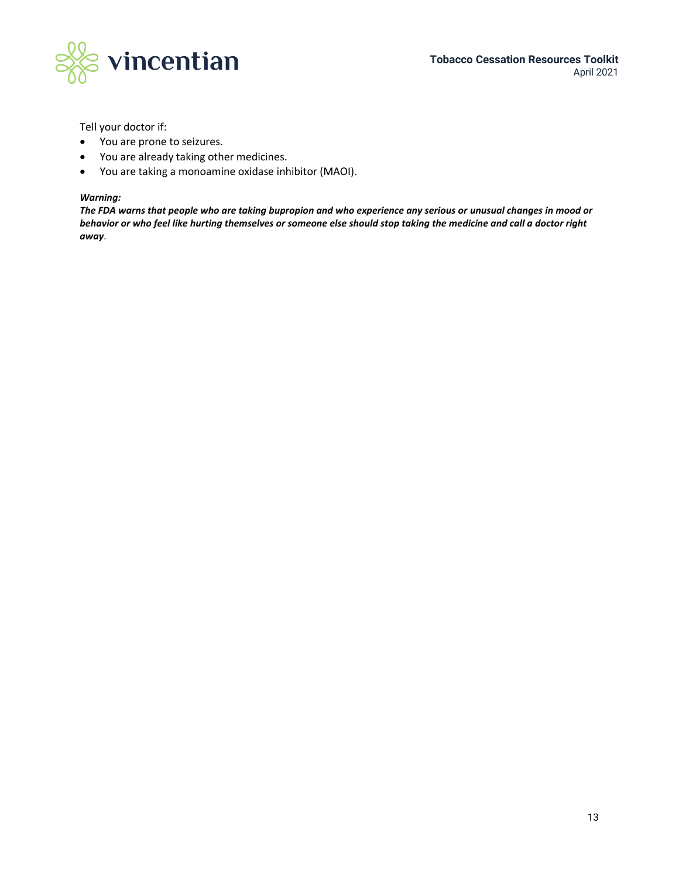

Tell your doctor if:

- You are prone to seizures.
- You are already taking other medicines.
- You are taking a monoamine oxidase inhibitor (MAOI).

### *Warning:*

*The FDA warns that people who are taking bupropion and who experience any serious or unusual changes in mood or behavior or who feel like hurting themselves or someone else should stop taking the medicine and call a doctor right away*.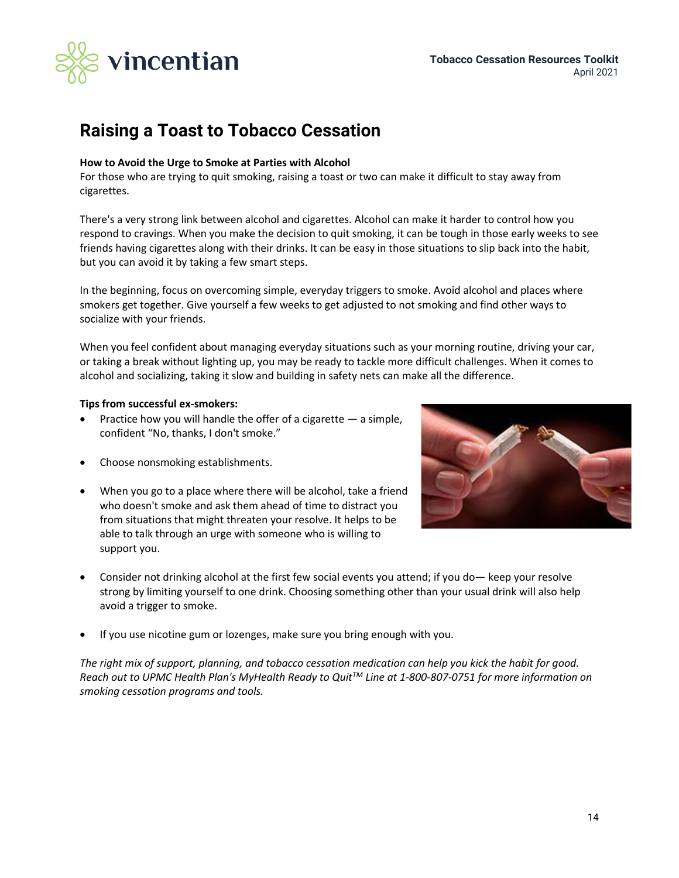

## **Raising a Toast to Tobacco Cessation**

### **How to Avoid the Urge to Smoke at Parties with Alcohol**

For those who are trying to quit smoking, raising a toast or two can make it difficult to stay away from cigarettes.

There's a very strong link between alcohol and cigarettes. Alcohol can make it harder to control how you respond to cravings. When you make the decision to quit smoking, it can be tough in those early weeks to see friends having cigarettes along with their drinks. It can be easy in those situations to slip back into the habit, but you can avoid it by taking a few smart steps.

In the beginning, focus on overcoming simple, everyday triggers to smoke. Avoid alcohol and places where smokers get together. Give yourself a few weeks to get adjusted to not smoking and find other ways to socialize with your friends.

When you feel confident about managing everyday situations such as your morning routine, driving your car, or taking a break without lighting up, you may be ready to tackle more difficult challenges. When it comes to alcohol and socializing, taking it slow and building in safety nets can make all the difference.

### **Tips from successful ex-smokers:**

- Practice how you will handle the offer of a cigarette  $-$  a simple, confident "No, thanks, I don't smoke."
- Choose nonsmoking establishments.
- When you go to a place where there will be alcohol, take a friend who doesn't smoke and ask them ahead of time to distract you from situations that might threaten your resolve. It helps to be able to talk through an urge with someone who is willing to support you.



- Consider not drinking alcohol at the first few social events you attend; if you do— keep your resolve strong by limiting yourself to one drink. Choosing something other than your usual drink will also help avoid a trigger to smoke.
- If you use nicotine gum or lozenges, make sure you bring enough with you.

*The right mix of support, planning, and tobacco cessation medication can help you kick the habit for good. Reach out to UPMC Health Plan's MyHealth Ready to QuitTM Line at 1-800-807-0751 for more information on smoking cessation programs and tools.*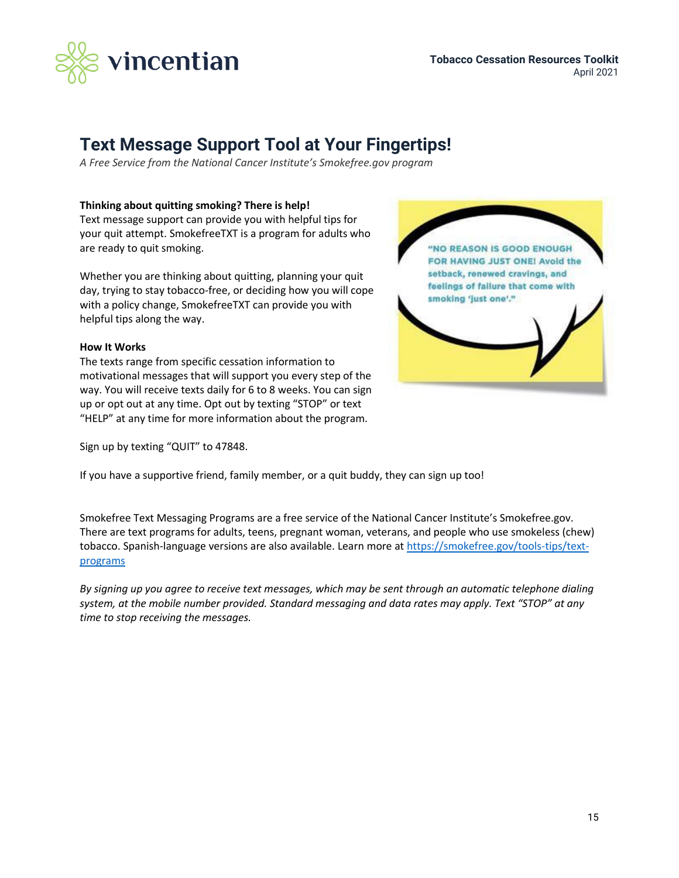

## **Text Message Support Tool at Your Fingertips!**

*A Free Service from the National Cancer Institute's Smokefree.gov program*

### **Thinking about quitting smoking? There is help!**

Text message support can provide you with helpful tips for your quit attempt. SmokefreeTXT is a program for adults who are ready to quit smoking.

Whether you are thinking about quitting, planning your quit day, trying to stay tobacco-free, or deciding how you will cope with a policy change, SmokefreeTXT can provide you with helpful tips along the way.

### **How It Works**

The texts range from specific cessation information to motivational messages that will support you every step of the way. You will receive texts daily for 6 to 8 weeks. You can sign up or opt out at any time. Opt out by texting "STOP" or text "HELP" at any time for more information about the program.

Sign up by texting "QUIT" to 47848.



If you have a supportive friend, family member, or a quit buddy, they can sign up too!

Smokefree Text Messaging Programs are a free service of the National Cancer Institute's Smokefree.gov. There are text programs for adults, teens, pregnant woman, veterans, and people who use smokeless (chew) tobacco. Spanish-language versions are also available. Learn more a[t https://smokefree.gov/tools-tips/text](https://smokefree.gov/tools-tips/text-programs)[programs](https://smokefree.gov/tools-tips/text-programs)

*By signing up you agree to receive text messages, which may be sent through an automatic telephone dialing system, at the mobile number provided. Standard messaging and data rates may apply. Text "STOP" at any time to stop receiving the messages.*